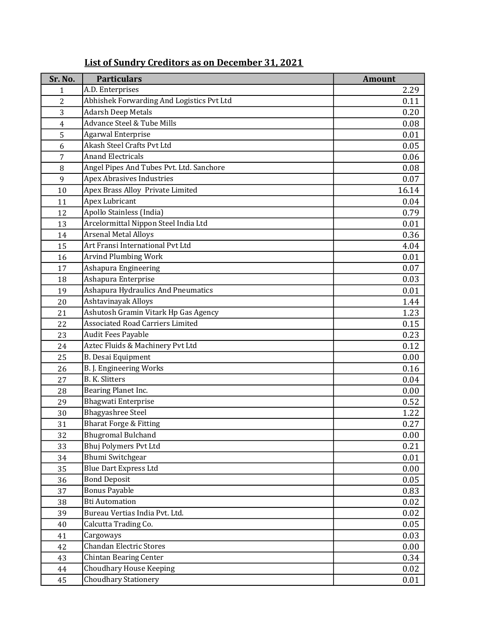| Sr. No.        | <b>Particulars</b>                        | <b>Amount</b> |
|----------------|-------------------------------------------|---------------|
| 1              | A.D. Enterprises                          | 2.29          |
| $\overline{c}$ | Abhishek Forwarding And Logistics Pvt Ltd | 0.11          |
| 3              | <b>Adarsh Deep Metals</b>                 | 0.20          |
| $\overline{4}$ | Advance Steel & Tube Mills                | 0.08          |
| 5              | <b>Agarwal Enterprise</b>                 | 0.01          |
| 6              | Akash Steel Crafts Pvt Ltd                | 0.05          |
| 7              | <b>Anand Electricals</b>                  | 0.06          |
| 8              | Angel Pipes And Tubes Pvt. Ltd. Sanchore  | 0.08          |
| 9              | <b>Apex Abrasives Industries</b>          | 0.07          |
| 10             | Apex Brass Alloy Private Limited          | 16.14         |
| 11             | Apex Lubricant                            | 0.04          |
| 12             | Apollo Stainless (India)                  | 0.79          |
| 13             | Arcelormittal Nippon Steel India Ltd      | 0.01          |
| 14             | <b>Arsenal Metal Alloys</b>               | 0.36          |
| 15             | Art Fransi International Pyt Ltd          | 4.04          |
| 16             | Arvind Plumbing Work                      | 0.01          |
| 17             | Ashapura Engineering                      | 0.07          |
| 18             | Ashapura Enterprise                       | 0.03          |
| 19             | <b>Ashapura Hydraulics And Pneumatics</b> | 0.01          |
| 20             | Ashtavinayak Alloys                       | 1.44          |
| 21             | Ashutosh Gramin Vitark Hp Gas Agency      | 1.23          |
| 22             | <b>Associated Road Carriers Limited</b>   | 0.15          |
| 23             | Audit Fees Payable                        | 0.23          |
| 24             | Aztec Fluids & Machinery Pvt Ltd          | 0.12          |
| 25             | <b>B.</b> Desai Equipment                 | 0.00          |
| 26             | B. J. Engineering Works                   | 0.16          |
| 27             | <b>B. K. Slitters</b>                     | 0.04          |
| 28             | Bearing Planet Inc.                       | 0.00          |
| 29             | <b>Bhagwati Enterprise</b>                | 0.52          |
| 30             | <b>Bhagyashree Steel</b>                  | 1.22          |
| 31             | <b>Bharat Forge &amp; Fitting</b>         | 0.27          |
| 32             | <b>Bhugromal Bulchand</b>                 | 0.00          |
| 33             | Bhuj Polymers Pvt Ltd                     | 0.21          |
| 34             | <b>Bhumi Switchgear</b>                   | 0.01          |
| 35             | <b>Blue Dart Express Ltd</b>              | 0.00          |
| 36             | <b>Bond Deposit</b>                       | 0.05          |
| 37             | <b>Bonus Payable</b>                      | 0.83          |
| 38             | <b>Bti Automation</b>                     | 0.02          |
| 39             | Bureau Vertias India Pvt. Ltd.            | 0.02          |
| 40             | Calcutta Trading Co.                      | 0.05          |
| 41             | Cargoways                                 | 0.03          |
| 42             | <b>Chandan Electric Stores</b>            | 0.00          |
| 43             | <b>Chintan Bearing Center</b>             | 0.34          |
| 44             | <b>Choudhary House Keeping</b>            | 0.02          |
| 45             | <b>Choudhary Stationery</b>               | 0.01          |

## List of Sundry Creditors as on December 31, 2021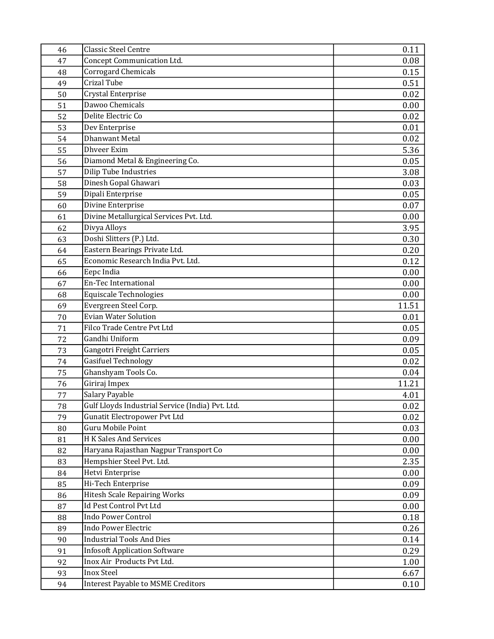| 46 | <b>Classic Steel Centre</b>                      | 0.11  |
|----|--------------------------------------------------|-------|
| 47 | Concept Communication Ltd.                       | 0.08  |
| 48 | <b>Corrogard Chemicals</b>                       | 0.15  |
| 49 | <b>Crizal Tube</b>                               | 0.51  |
| 50 | Crystal Enterprise                               | 0.02  |
| 51 | Dawoo Chemicals                                  | 0.00  |
| 52 | Delite Electric Co                               | 0.02  |
| 53 | Dev Enterprise                                   | 0.01  |
| 54 | <b>Dhanwant Metal</b>                            | 0.02  |
| 55 | <b>Dhveer Exim</b>                               | 5.36  |
| 56 | Diamond Metal & Engineering Co.                  | 0.05  |
| 57 | <b>Dilip Tube Industries</b>                     | 3.08  |
| 58 | Dinesh Gopal Ghawari                             | 0.03  |
| 59 | Dipali Enterprise                                | 0.05  |
| 60 | Divine Enterprise                                | 0.07  |
| 61 | Divine Metallurgical Services Pvt. Ltd.          | 0.00  |
| 62 | Divya Alloys                                     | 3.95  |
| 63 | Doshi Slitters (P.) Ltd.                         | 0.30  |
| 64 | Eastern Bearings Private Ltd.                    | 0.20  |
| 65 | Economic Research India Pvt. Ltd.                | 0.12  |
| 66 | Eepc India                                       | 0.00  |
| 67 | En-Tec International                             | 0.00  |
| 68 | <b>Equiscale Technologies</b>                    | 0.00  |
| 69 | Evergreen Steel Corp.                            | 11.51 |
| 70 | <b>Evian Water Solution</b>                      | 0.01  |
| 71 | Filco Trade Centre Pvt Ltd                       | 0.05  |
| 72 | Gandhi Uniform                                   | 0.09  |
| 73 | Gangotri Freight Carriers                        | 0.05  |
| 74 | <b>Gasifuel Technology</b>                       | 0.02  |
| 75 | Ghanshyam Tools Co.                              | 0.04  |
| 76 | Giriraj Impex                                    | 11.21 |
| 77 | Salary Payable                                   | 4.01  |
| 78 | Gulf Lloyds Industrial Service (India) Pvt. Ltd. | 0.02  |
| 79 | Gunatit Electropower Pvt Ltd                     | 0.02  |
| 80 | Guru Mobile Point                                | 0.03  |
| 81 | H K Sales And Services                           | 0.00  |
| 82 | Haryana Rajasthan Nagpur Transport Co            | 0.00  |
| 83 | Hempshier Steel Pvt. Ltd.                        | 2.35  |
| 84 | Hetvi Enterprise                                 | 0.00  |
| 85 | Hi-Tech Enterprise                               | 0.09  |
| 86 | <b>Hitesh Scale Repairing Works</b>              | 0.09  |
| 87 | Id Pest Control Pvt Ltd                          | 0.00  |
| 88 | <b>Indo Power Control</b>                        | 0.18  |
| 89 | <b>Indo Power Electric</b>                       | 0.26  |
| 90 | <b>Industrial Tools And Dies</b>                 | 0.14  |
| 91 | <b>Infosoft Application Software</b>             | 0.29  |
| 92 | Inox Air Products Pvt Ltd.                       | 1.00  |
| 93 | <b>Inox Steel</b>                                | 6.67  |
| 94 | <b>Interest Payable to MSME Creditors</b>        | 0.10  |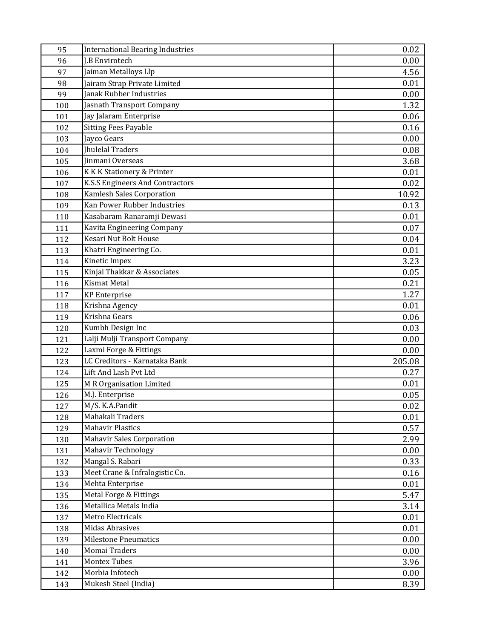| 95  | <b>International Bearing Industries</b> | 0.02   |
|-----|-----------------------------------------|--------|
| 96  | J.B Envirotech                          | 0.00   |
| 97  | Jaiman Metalloys Llp                    | 4.56   |
| 98  | Jairam Strap Private Limited            | 0.01   |
| 99  | Janak Rubber Industries                 | 0.00   |
| 100 | Jasnath Transport Company               | 1.32   |
| 101 | Jay Jalaram Enterprise                  | 0.06   |
| 102 | <b>Sitting Fees Payable</b>             | 0.16   |
| 103 | Jayco Gears                             | 0.00   |
| 104 | <b>Ihulelal Traders</b>                 | 0.08   |
| 105 | Jinmani Overseas                        | 3.68   |
| 106 | K K K Stationery & Printer              | 0.01   |
| 107 | K.S.S Engineers And Contractors         | 0.02   |
| 108 | Kamlesh Sales Corporation               | 10.92  |
| 109 | Kan Power Rubber Industries             | 0.13   |
| 110 | Kasabaram Ranaramji Dewasi              | 0.01   |
| 111 | Kavita Engineering Company              | 0.07   |
| 112 | Kesari Nut Bolt House                   | 0.04   |
| 113 | Khatri Engineering Co.                  | 0.01   |
| 114 | Kinetic Impex                           | 3.23   |
| 115 | Kinjal Thakkar & Associates             | 0.05   |
| 116 | <b>Kismat Metal</b>                     | 0.21   |
| 117 | <b>KP</b> Enterprise                    | 1.27   |
| 118 | Krishna Agency                          | 0.01   |
| 119 | Krishna Gears                           | 0.06   |
| 120 | Kumbh Design Inc                        | 0.03   |
| 121 | Lalji Mulji Transport Company           | 0.00   |
| 122 | Laxmi Forge & Fittings                  | 0.00   |
| 123 | LC Creditors - Karnataka Bank           | 205.08 |
| 124 | Lift And Lash Pvt Ltd                   | 0.27   |
| 125 | M R Organisation Limited                | 0.01   |
| 126 | M.J. Enterprise                         | 0.05   |
| 127 | M/S. K.A.Pandit                         | 0.02   |
| 128 | Mahakali Traders                        | 0.01   |
| 129 | <b>Mahavir Plastics</b>                 | 0.57   |
| 130 | <b>Mahavir Sales Corporation</b>        | 2.99   |
| 131 | Mahavir Technology                      | 0.00   |
| 132 | Mangal S. Rabari                        | 0.33   |
| 133 | Meet Crane & Infralogistic Co.          | 0.16   |
| 134 | Mehta Enterprise                        | 0.01   |
| 135 | Metal Forge & Fittings                  | 5.47   |
| 136 | Metallica Metals India                  | 3.14   |
| 137 | Metro Electricals                       | 0.01   |
| 138 | <b>Midas Abrasives</b>                  | 0.01   |
| 139 | <b>Milestone Pneumatics</b>             | 0.00   |
| 140 | Momai Traders                           | 0.00   |
| 141 | Montex Tubes                            | 3.96   |
| 142 | Morbia Infotech                         | 0.00   |
| 143 | Mukesh Steel (India)                    | 8.39   |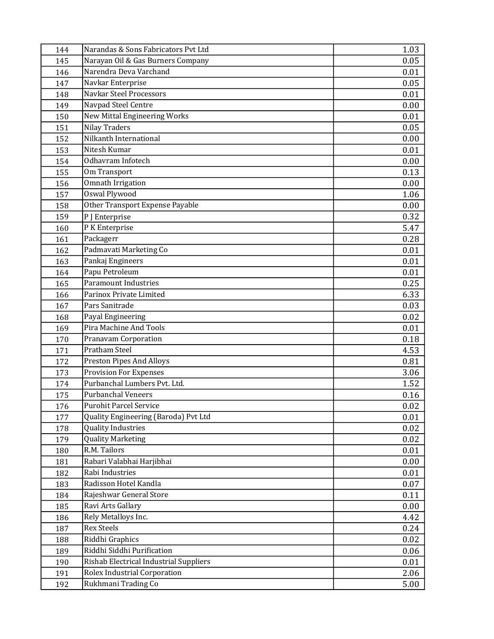| 144 | Narandas & Sons Fabricators Pvt Ltd    | 1.03 |
|-----|----------------------------------------|------|
| 145 | Narayan Oil & Gas Burners Company      | 0.05 |
| 146 | Narendra Deva Varchand                 | 0.01 |
| 147 | Navkar Enterprise                      | 0.05 |
| 148 | Navkar Steel Processors                | 0.01 |
| 149 | Navpad Steel Centre                    | 0.00 |
| 150 | New Mittal Engineering Works           | 0.01 |
| 151 | <b>Nilay Traders</b>                   | 0.05 |
| 152 | Nilkanth International                 | 0.00 |
| 153 | Nitesh Kumar                           | 0.01 |
| 154 | Odhavram Infotech                      | 0.00 |
| 155 | Om Transport                           | 0.13 |
| 156 | <b>Omnath Irrigation</b>               | 0.00 |
| 157 | <b>Oswal Plywood</b>                   | 1.06 |
| 158 | Other Transport Expense Payable        | 0.00 |
| 159 | P J Enterprise                         | 0.32 |
| 160 | P K Enterprise                         | 5.47 |
| 161 | Packagerr                              | 0.28 |
| 162 | Padmavati Marketing Co                 | 0.01 |
| 163 | Pankaj Engineers                       | 0.01 |
| 164 | Papu Petroleum                         | 0.01 |
| 165 | <b>Paramount Industries</b>            | 0.25 |
| 166 | Parinox Private Limited                | 6.33 |
| 167 | Pars Sanitrade                         | 0.03 |
| 168 | Payal Engineering                      | 0.02 |
| 169 | Pira Machine And Tools                 | 0.01 |
| 170 | <b>Pranavam Corporation</b>            | 0.18 |
| 171 | <b>Pratham Steel</b>                   | 4.53 |
| 172 | <b>Preston Pipes And Alloys</b>        | 0.81 |
| 173 | <b>Provision For Expenses</b>          | 3.06 |
| 174 | Purbanchal Lumbers Pvt. Ltd.           | 1.52 |
| 175 | <b>Purbanchal Veneers</b>              | 0.16 |
| 176 | <b>Purohit Parcel Service</b>          | 0.02 |
| 177 | Quality Engineering (Baroda) Pvt Ltd   | 0.01 |
| 178 | <b>Quality Industries</b>              | 0.02 |
| 179 | <b>Quality Marketing</b>               | 0.02 |
| 180 | R.M. Tailors                           | 0.01 |
| 181 | Rabari Valabhai Harjibhai              | 0.00 |
| 182 | Rabi Industries                        | 0.01 |
| 183 | Radisson Hotel Kandla                  | 0.07 |
| 184 | Rajeshwar General Store                | 0.11 |
| 185 | Ravi Arts Gallary                      | 0.00 |
| 186 | Rely Metalloys Inc.                    | 4.42 |
| 187 | <b>Rex Steels</b>                      | 0.24 |
| 188 | Riddhi Graphics                        | 0.02 |
| 189 | Riddhi Siddhi Purification             | 0.06 |
| 190 | Rishab Electrical Industrial Suppliers | 0.01 |
| 191 | Rolex Industrial Corporation           | 2.06 |
| 192 | Rukhmani Trading Co                    | 5.00 |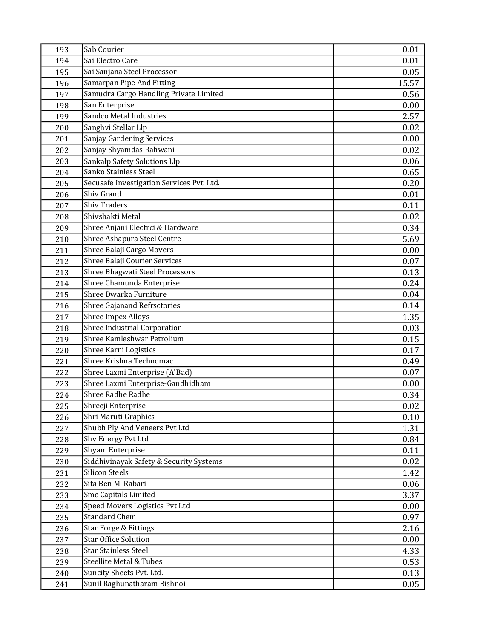| 193 | Sab Courier                               | 0.01  |
|-----|-------------------------------------------|-------|
| 194 | Sai Electro Care                          | 0.01  |
| 195 | Sai Sanjana Steel Processor               | 0.05  |
| 196 | Samarpan Pipe And Fitting                 | 15.57 |
| 197 | Samudra Cargo Handling Private Limited    | 0.56  |
| 198 | San Enterprise                            | 0.00  |
| 199 | Sandco Metal Industries                   | 2.57  |
| 200 | Sanghvi Stellar Llp                       | 0.02  |
| 201 | Sanjay Gardening Services                 | 0.00  |
| 202 | Sanjay Shyamdas Rahwani                   | 0.02  |
| 203 | Sankalp Safety Solutions Llp              | 0.06  |
| 204 | Sanko Stainless Steel                     | 0.65  |
| 205 | Secusafe Investigation Services Pvt. Ltd. | 0.20  |
| 206 | Shiv Grand                                | 0.01  |
| 207 | <b>Shiv Traders</b>                       | 0.11  |
| 208 | Shivshakti Metal                          | 0.02  |
| 209 | Shree Anjani Electrci & Hardware          | 0.34  |
| 210 | Shree Ashapura Steel Centre               | 5.69  |
| 211 | Shree Balaji Cargo Movers                 | 0.00  |
| 212 | Shree Balaji Courier Services             | 0.07  |
| 213 | <b>Shree Bhagwati Steel Processors</b>    | 0.13  |
| 214 | Shree Chamunda Enterprise                 | 0.24  |
| 215 | Shree Dwarka Furniture                    | 0.04  |
| 216 | Shree Gajanand Refrsctories               | 0.14  |
| 217 | <b>Shree Impex Alloys</b>                 | 1.35  |
| 218 | Shree Industrial Corporation              | 0.03  |
| 219 | Shree Kamleshwar Petrolium                | 0.15  |
| 220 | Shree Karni Logistics                     | 0.17  |
| 221 | Shree Krishna Technomac                   | 0.49  |
| 222 | Shree Laxmi Enterprise (A'Bad)            | 0.07  |
| 223 | Shree Laxmi Enterprise-Gandhidham         | 0.00  |
| 224 | Shree Radhe Radhe                         | 0.34  |
| 225 | Shreeji Enterprise                        | 0.02  |
| 226 | Shri Maruti Graphics                      | 0.10  |
| 227 | Shubh Ply And Veneers Pvt Ltd             | 1.31  |
| 228 | Shv Energy Pvt Ltd                        | 0.84  |
| 229 | Shyam Enterprise                          | 0.11  |
| 230 | Siddhivinayak Safety & Security Systems   | 0.02  |
| 231 | <b>Silicon Steels</b>                     | 1.42  |
| 232 | Sita Ben M. Rabari                        | 0.06  |
| 233 | Smc Capitals Limited                      | 3.37  |
| 234 | Speed Movers Logistics Pvt Ltd            | 0.00  |
| 235 | <b>Standard Chem</b>                      | 0.97  |
| 236 | Star Forge & Fittings                     | 2.16  |
| 237 | <b>Star Office Solution</b>               | 0.00  |
| 238 | <b>Star Stainless Steel</b>               | 4.33  |
| 239 | Steellite Metal & Tubes                   | 0.53  |
| 240 | Suncity Sheets Pvt. Ltd.                  | 0.13  |
| 241 | Sunil Raghunatharam Bishnoi               | 0.05  |